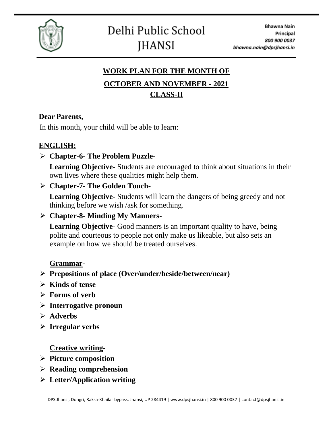

# **WORK PLAN FOR THE MONTH OF**

## **OCTOBER AND NOVEMBER - 2021 CLASS-II**

### **Dear Parents,**

In this month, your child will be able to learn:

## **ENGLISH:**

➢ **Chapter-6- The Problem Puzzle-**

**Learning Objective-** Students are encouraged to think about situations in their own lives where these qualities might help them.

## ➢ **Chapter-7- The Golden Touch-**

**Learning Objective-** Students will learn the dangers of being greedy and not thinking before we wish /ask for something.

## ➢ **Chapter-8- Minding My Manners-**

**Learning Objective-** Good manners is an important quality to have, being polite and courteous to people not only make us likeable, but also sets an example on how we should be treated ourselves.

#### **Grammar-**

- ➢ **Prepositions of place (Over/under/beside/between/near)**
- ➢ **Kinds of tense**
- ➢ **Forms of verb**
- ➢ **Interrogative pronoun**
- ➢ **Adverbs**
- ➢ **Irregular verbs**

#### **Creative writing-**

- ➢ **Picture composition**
- ➢ **Reading comprehension**
- ➢ **Letter/Application writing**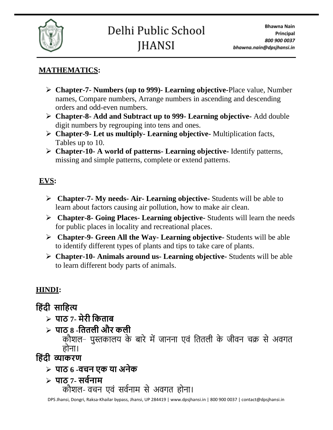

### **MATHEMATICS:**

- ➢ **Chapter-7- Numbers (up to 999)- Learning objective-**Place value, Number names, Compare numbers, Arrange numbers in ascending and descending orders and odd-even numbers.
- ➢ **Chapter-8- Add and Subtract up to 999- Learning objective-** Add double digit numbers by regrouping into tens and ones.
- ➢ **Chapter-9- Let us multiply- Learning objective-** Multiplication facts, Tables up to 10.
- ➢ **Chapter-10- A world of patterns- Learning objective-** Identify patterns, missing and simple patterns, complete or extend patterns.

# **EVS:**

- ➢ **Chapter-7- My needs- Air- Learning objective-** Students will be able to learn about factors causing air pollution, how to make air clean.
- ➢ **Chapter-8- Going Places- Learning objective-** Students will learn the needs for public places in locality and recreational places.
- ➢ **Chapter-9- Green All the Way- Learning objective-** Students will be able to identify different types of plants and tips to take care of plants.
- ➢ **Chapter-10- Animals around us- Learning objective-** Students will be able to learn different body parts of animals.

# **HINDI:**

# **ह िंदी साह त्य**

- ➢ **पाठ 7- मेरी हिताब**
- ➢ **पाठ 8 -हततली और िली**

कौशल- पुस्तकालय के बारे में जानना एवं तितली के जीवन चक्र से अवगत होना।

- **ह िंदी व्यािरण**
	- ➢ **पाठ 6 -वचन एि या अनेि**
	- ➢ **पाठ 7- सववनाम**
		- कौशल- वचन एवं सर्वनाम से अवगत होना।

DPS Jhansi, Dongri, Raksa-Khailar bypass, Jhansi, UP 284419 | [www.dpsjhansi.in](http://www.dpsjhansi.in/) | 800 900 0037 | [contact@dpsjhansi.in](mailto:contact@dpsjhansi.in)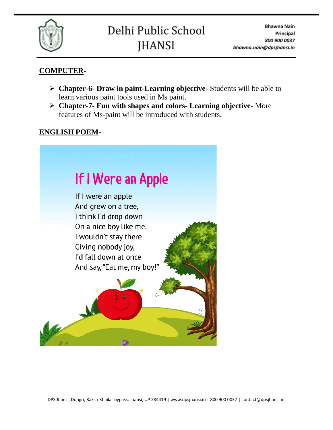

# Delhi Public School **JHANSI**

### **COMPUTER-**

- ➢ **Chapter-6- Draw in paint-Learning objective-** Students will be able to learn various paint tools used in Ms paint.
- ➢ **Chapter-7- Fun with shapes and colors- Learning objective-** More features of Ms-paint will be introduced with students.

## **ENGLISH POEM-**

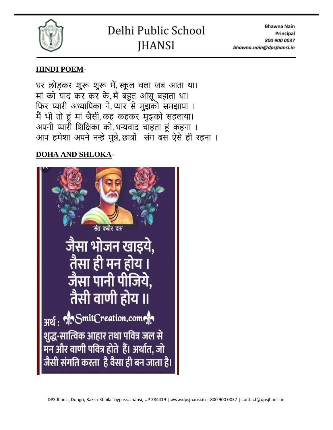

#### **HINDI POEM**-

घर छोड़कर शुरू शुरू में, स्कूल चला जब आता था। मां को याद कर कर के, मैं बहुत आंसू बहाता था। तिर प्यारी अध्यातपका ने,प्यार सेमुझको समझाया । मैंभी िो हं मां जैसी,कह कहकर मुझको सहलाया। अपनी प्यारी तशतिका को,धन्यवाद चाहिा हं कहना । आप हमेशा अपनेनन्हेमुन्ने,छात्ों संग बस ऐसेही रहना ।

## **DOHA AND SHLOKA-**